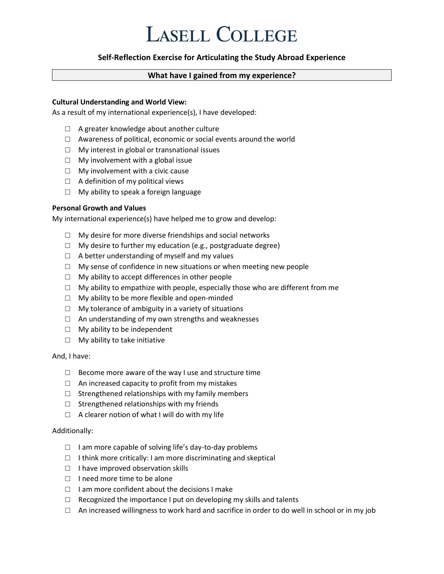## **LASELL COLLEGE**

## **Self-Reflection Exercise for Articulating the Study Abroad Experience**

## **What have I gained from my experience?**

#### **Cultural Understanding and World View:**

As a result of my international experience(s), I have developed:

- □ A greater knowledge about another culture
- $\Box$  Awareness of political, economic or social events around the world
- $\Box$  My interest in global or transnational issues
- $\Box$  My involvement with a global issue
- $\Box$  My involvement with a civic cause
- $\Box$  A definition of my political views
- □ My ability to speak a foreign language

#### **Personal Growth and Values**

My international experience(s) have helped me to grow and develop:

- $\Box$  My desire for more diverse friendships and social networks
- $\Box$  My desire to further my education (e.g., postgraduate degree)
- $\Box$  A better understanding of myself and my values
- $\Box$  My sense of confidence in new situations or when meeting new people
- $\Box$  My ability to accept differences in other people
- $\Box$  My ability to empathize with people, especially those who are different from me
- $\Box$  My ability to be more flexible and open-minded
- $\Box$  My tolerance of ambiguity in a variety of situations
- □ An understanding of my own strengths and weaknesses
- $\Box$  My ability to be independent
- $\Box$  My ability to take initiative

#### And, I have:

- $\Box$  Become more aware of the way I use and structure time
- $\Box$  An increased capacity to profit from my mistakes
- $\Box$  Strengthened relationships with my family members
- $\square$  Strengthened relationships with my friends
- $\Box$  A clearer notion of what I will do with my life

#### Additionally:

- $\Box$  I am more capable of solving life's day-to-day problems
- $\Box$  I think more critically: I am more discriminating and skeptical
- □ I have improved observation skills
- □ I need more time to be alone
- $\Box$  I am more confident about the decisions I make
- $\Box$  Recognized the importance I put on developing my skills and talents
- □ An increased willingness to work hard and sacrifice in order to do well in school or in my job